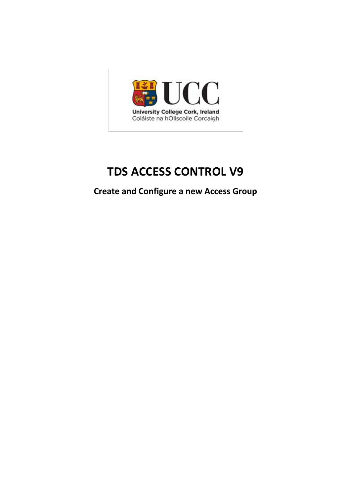

# **TDS ACCESS CONTROL V9**

**Create and Configure a new Access Group**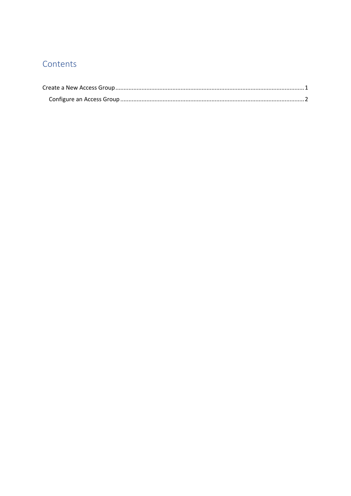## Contents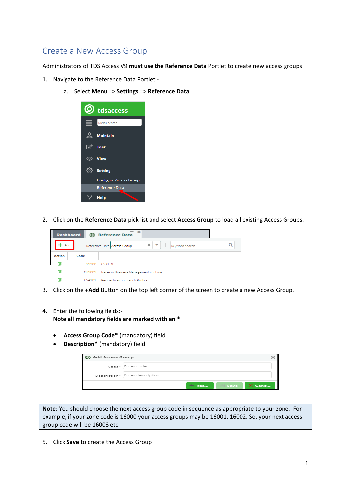#### <span id="page-2-0"></span>Create a New Access Group

Administrators of TDS Access V9 **must use the Reference Data** Portlet to create new access groups

- 1. Navigate to the Reference Data Portlet:
	- a. Select **Menu** => **Settings** => **Reference Data**



2. Click on the **Reference Data** pick list and select **Access Group** to load all existing Access Groups.

|               | <b>Dashboard</b><br>$\circledcirc$ | $\infty$<br><b>Reference Data</b>                                                         |
|---------------|------------------------------------|-------------------------------------------------------------------------------------------|
| Add           |                                    | $\mathbf{x}$<br>$\overline{\phantom{a}}$<br>Keyword search<br>Reference Data Access Group |
| <b>Action</b> | Code                               |                                                                                           |
| ☑             | 23200                              | CS CEOL                                                                                   |
| ☑             | CH3003                             | Issues in Business Management in China                                                    |
| ☑             | GV4101                             | Perspectives on French Politics                                                           |

3. Click on the **+Add** Button on the top left corner of the screen to create a new Access Group.

#### **4.** Enter the following fields:-

**Note all mandatory fields are marked with an \***

- **Access Group Code\*** (mandatory) field
- **Description\*** (mandatory) field

| C Add Access Group |                                |            |             |        |
|--------------------|--------------------------------|------------|-------------|--------|
|                    | Code* Enter code               |            |             |        |
|                    | Description* Enter description |            |             |        |
|                    |                                | <b>Res</b> | $\Box$ Save | X Canc |

**Note**: You should choose the next access group code in sequence as appropriate to your zone. For example, if your zone code is 16000 your access groups may be 16001, 16002. So, your next access group code will be 16003 etc.

5. Click **Save** to create the Access Group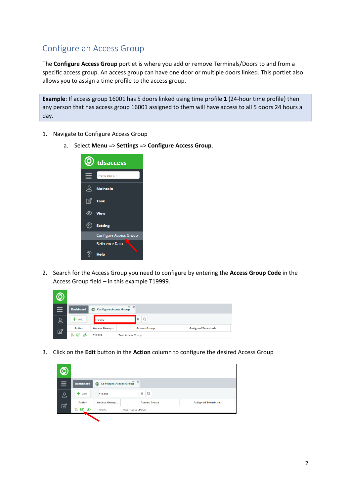### <span id="page-3-0"></span>Configure an Access Group

The **Configure Access Group** portlet is where you add or remove Terminals/Doors to and from a specific access group. An access group can have one door or multiple doors linked. This portlet also allows you to assign a time profile to the access group.

**Example**: If access group 16001 has 5 doors linked using time profile **1** (24-hour time profile) then any person that has access group 16001 assigned to them will have access to all 5 doors 24 hours a day.

- 1. Navigate to Configure Access Group
	- a. Select **Menu** => **Settings** => **Configure Access Group**.



2. Search for the Access Group you need to configure by entering the **Access Group Code** in the Access Group field – in this example T19999.

| Ξ            | <b>Dashboard</b> | <b>Configure Access Group</b><br>⊚ | $- x$               |                           |
|--------------|------------------|------------------------------------|---------------------|---------------------------|
| ९            | $+$ Add          | 9999                               | $\alpha$<br>×       |                           |
| $\mathbb{Z}$ | <b>Action</b>    | <b>Access Group</b>                | <b>Access Group</b> | <b>Assigned Terminals</b> |
|              | 9. L'<br>ුපි     | T19999                             | Test Access Group   |                           |

3. Click on the **Edit** button in the **Action** column to configure the desired Access Group

| Ξ | <b>Dashboard</b><br>⊚ | <b>Configure Access Group</b> | $- x$                    |                           |
|---|-----------------------|-------------------------------|--------------------------|---------------------------|
| ೭ | $+$ Add               | T19999                        | $\alpha$<br>$\mathbf{x}$ |                           |
| 図 | <b>Action</b>         | <b>Access Group</b>           | <b>Access Group</b>      | <b>Assigned Terminals</b> |
|   | 9. 13<br>28           | T19999                        | Test Access Group        |                           |
|   |                       |                               |                          |                           |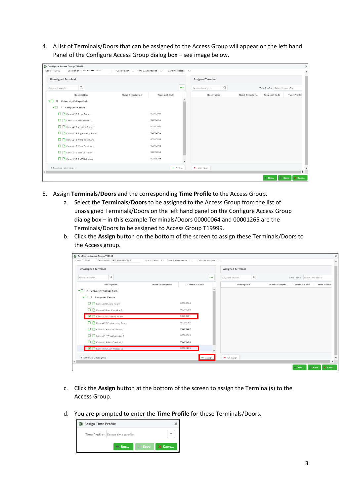4. A list of Terminals/Doors that can be assigned to the Access Group will appear on the left hand Panel of the Configure Access Group dialog box – see image below.

| Code T19999<br>Description*   lest Access Group            | Public Visitor   Time & Attendance   U |                      | Cardlink Hotspot        |                          |                 |                                  |                     |
|------------------------------------------------------------|----------------------------------------|----------------------|-------------------------|--------------------------|-----------------|----------------------------------|---------------------|
| <b>Unassigned Terminal</b>                                 |                                        |                      |                         | <b>Assigned Terminal</b> |                 |                                  |                     |
| $\hbox{\ensuremath{\mathsf{Q}}\xspace}$<br>Keyword search  |                                        |                      | $\bullet\bullet\bullet$ | Q<br>Keyword search      |                 | Time Profile Select time profile |                     |
| Description                                                | <b>Short Description</b>               | <b>Terminal Code</b> |                         | Description              | Short Descripti | <b>Terminal Code</b>             | <b>Time Profile</b> |
| <b>University College Cork</b><br>$\bullet$ $\Box$ $\circ$ |                                        |                      |                         |                          |                 |                                  |                     |
| ▾◻<br><sup>O</sup> Computer Centre                         |                                        |                      |                         |                          |                 |                                  |                     |
| R Kane-4.32 Store Room                                     |                                        | 00000064             |                         |                          |                 |                                  |                     |
| Kane-4.3 East Corridor 2                                   |                                        | 00000058             |                         |                          |                 |                                  |                     |
| Kane-4.28 Meeting Room                                     |                                        | 00000061             |                         |                          |                 |                                  |                     |
| Kane-4.26 Engineering Room                                 |                                        | 00000060             |                         |                          |                 |                                  |                     |
| Kane-4.19 West Corridor 2                                  |                                        | 00000059             |                         |                          |                 |                                  |                     |
| Kane-4.17 West Corridor 1                                  |                                        | 00000063             |                         |                          |                 |                                  |                     |
| Kane-4.15 East Corridor 1                                  |                                        | 00000062             |                         |                          |                 |                                  |                     |
| Kane-3.35 Staff Helpdesk                                   |                                        | 00001265             | $\mathbf{v}$            |                          |                 |                                  |                     |
| 9 Terminals Unassigned                                     |                                        |                      | $\rightarrow$ Assign    | + Unassign               |                 |                                  |                     |
|                                                            |                                        |                      |                         |                          |                 |                                  |                     |

- 5. Assign **Terminals**/**Doors** and the corresponding **Time Profile** to the Access Group.
	- a. Select the **Terminals**/**Doors** to be assigned to the Access Group from the list of unassigned Terminals/Doors on the left hand panel on the Configure Access Group dialog box – in this example Terminals/Doors 00000064 and 00001265 are the Terminals/Doors to be assigned to Access Group T19999.
	- b. Click the **Assign** button on the bottom of the screen to assign these Terminals/Doors to the Access group.

| <b>Unassigned Terminal</b>                                       |                          |                      |                          | <b>Assigned Terminal</b>                   |                 |                                  |                     |
|------------------------------------------------------------------|--------------------------|----------------------|--------------------------|--------------------------------------------|-----------------|----------------------------------|---------------------|
| Q<br>Keyword search                                              |                          |                      | $\bullet\bullet\bullet$  | $\hbox{\footnotesize Q}$<br>Keyword search |                 | Time Profile Select time profile |                     |
| Description                                                      | <b>Short Description</b> | <b>Terminal Code</b> |                          | Description                                | Short Descripti | <b>Terminal Code</b>             | <b>Time Profile</b> |
| $\overline{ }$<br><b>University College Cork</b><br>$^\circledR$ |                          |                      |                          |                                            |                 |                                  |                     |
| $\bullet$ $\Box$ $\circ$ Computer Centre                         |                          |                      |                          |                                            |                 |                                  |                     |
| C R Kane-4.32 Store Room                                         |                          | 00000064             |                          |                                            |                 |                                  |                     |
| C R Kane-4.3 East Corridor 2                                     |                          | 00000058             |                          |                                            |                 |                                  |                     |
| Kane-4.28 Meeting Room                                           |                          | 00000061             |                          |                                            |                 |                                  |                     |
| Kane-4.26 Engineering Room                                       |                          | 00000060             |                          |                                            |                 |                                  |                     |
| <b>D</b> R Kane-4.19 West Corridor 2                             |                          | 00000059             |                          |                                            |                 |                                  |                     |
| <b>D</b> R Kane-4.17 West Corridor 1                             |                          | 00000063             |                          |                                            |                 |                                  |                     |
| R Kane-4.15 East Corridor 1                                      |                          | 00000062             |                          |                                            |                 |                                  |                     |
| Kane-3.35 Staff Helpdesk                                         |                          | 00001265             | $\overline{\phantom{a}}$ |                                            |                 |                                  |                     |
|                                                                  |                          |                      |                          |                                            |                 |                                  |                     |
| 9 Terminals Unassigned                                           |                          |                      | $\rightarrow$ Assign     | $\leftarrow$ Unassign                      |                 |                                  |                     |

- c. Click the **Assign** button at the bottom of the screen to assign the Terminal(s) to the Access Group.
- d. You are prompted to enter the **Time Profile** for these Terminals/Doors.

| 6 Assign Time Profile |                                   |                |        |  |
|-----------------------|-----------------------------------|----------------|--------|--|
|                       | Time Profile* Select time profile |                |        |  |
|                       | Res                               | <b>El Save</b> | X Canc |  |